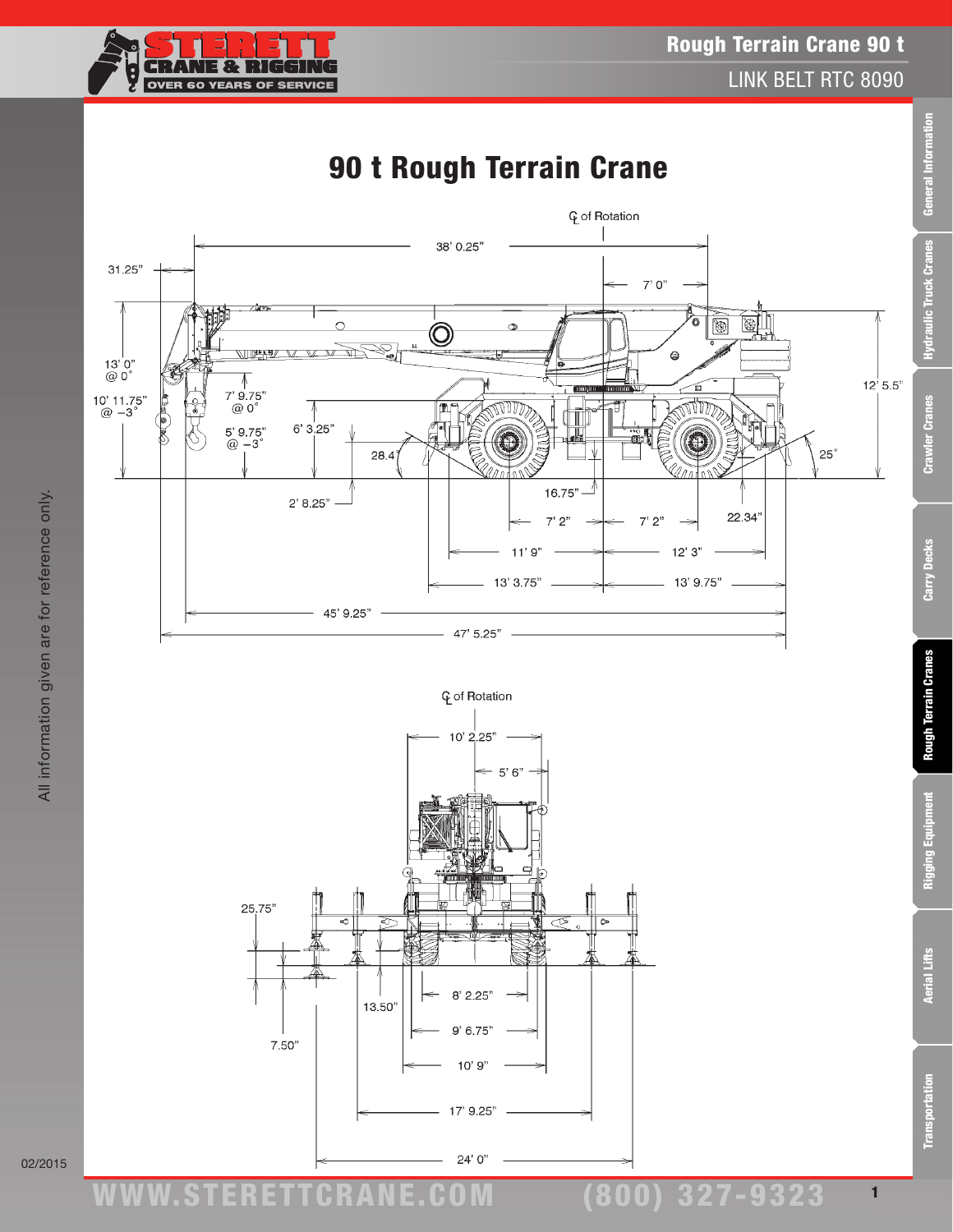



All information given are for reference only.

All information given are for reference only.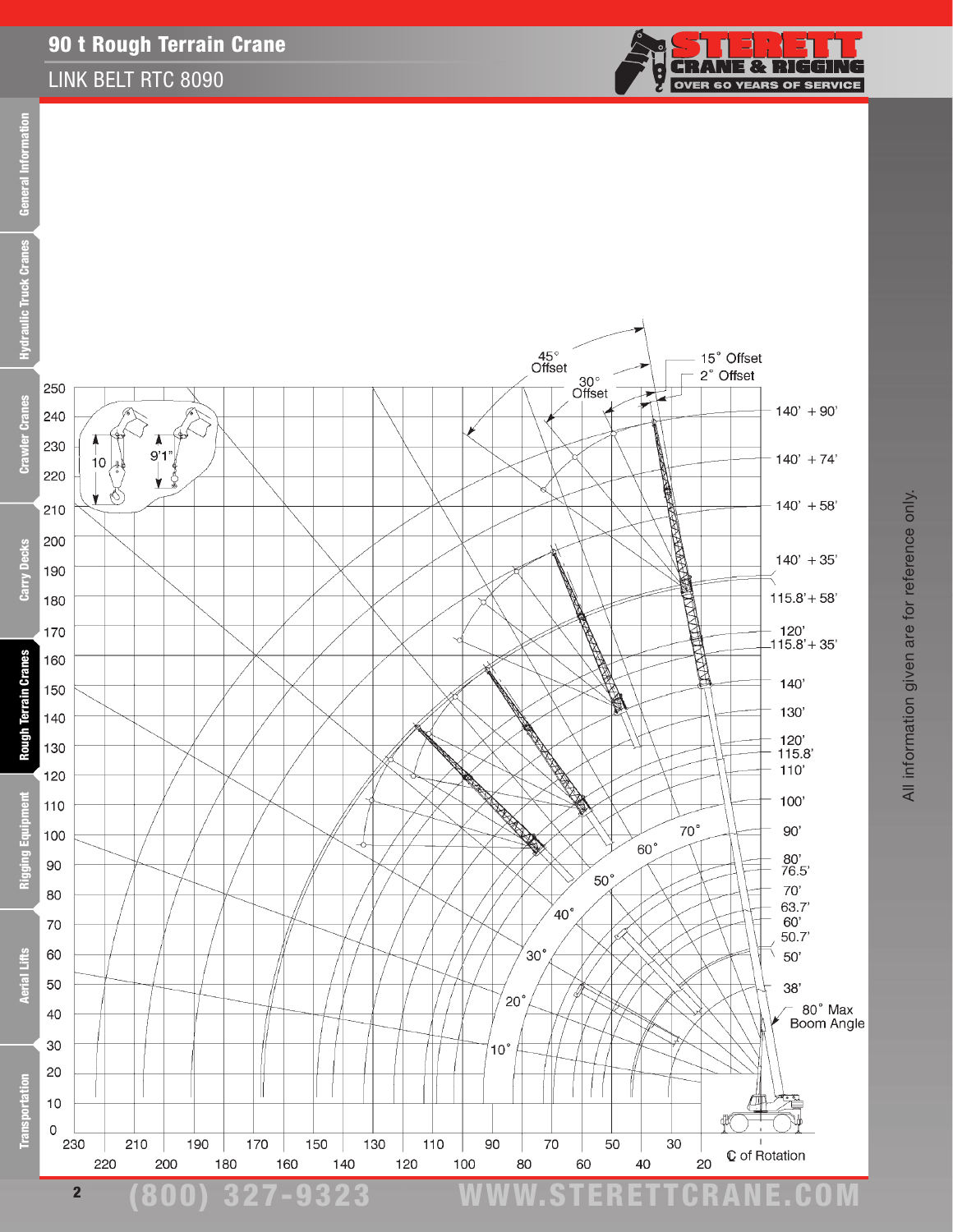#### LINK BELT RTC 8090



q

Ċ.

**NE & RIGGING** 

**OVER 60 YEARS OF SERVICE**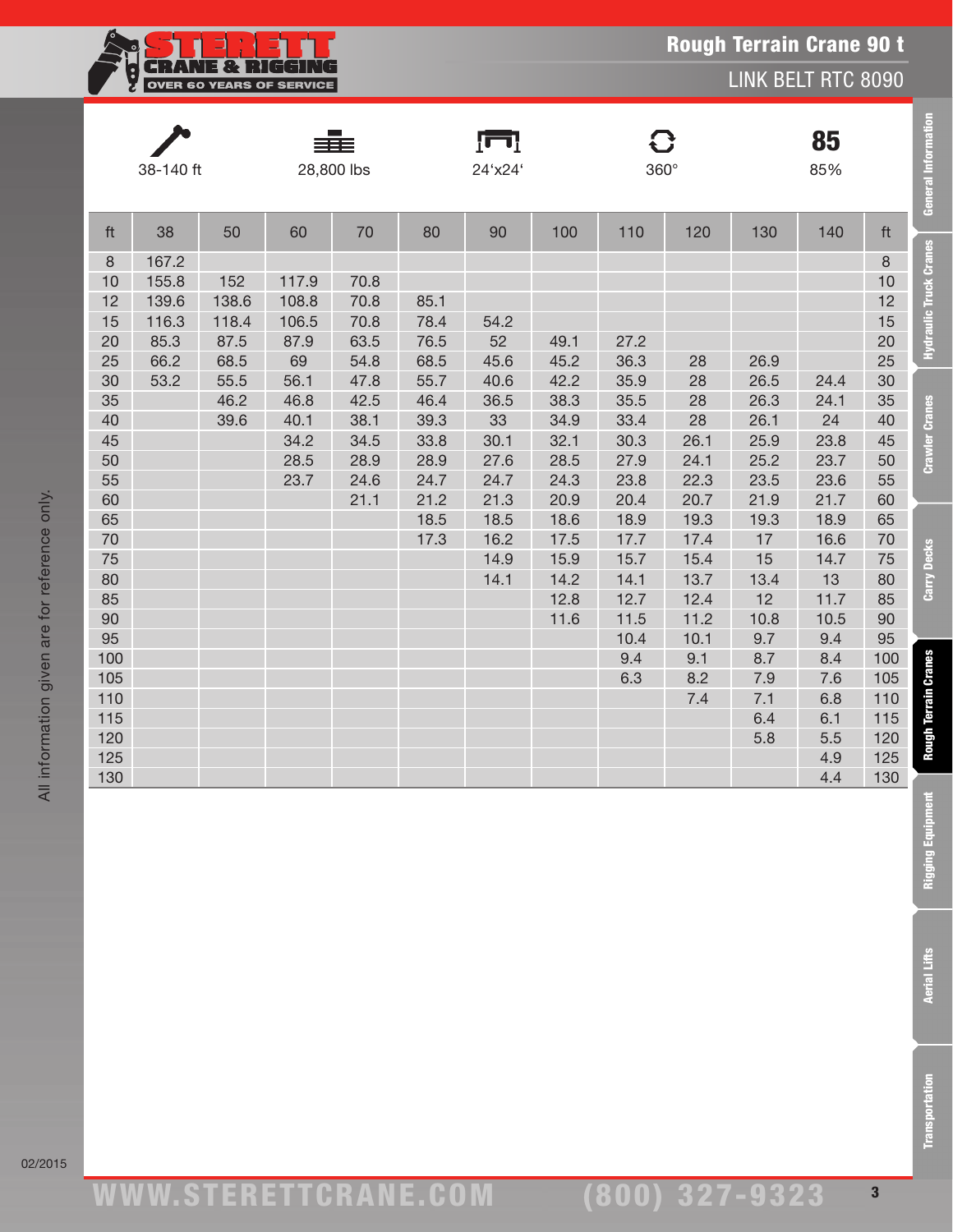

LINK BELT RTC 8090

| 38-140 ft                                                                                    |                                                          |                                                               |                                                                               | 28,800 lbs                                                                   |                                                                      | 85%<br>24'x24'<br>360°                                   |                                                              |                                                                                    |                                                                                           | <b>General Information</b>                                                                       |                                                                                                             |                                                                                              |                                                        |
|----------------------------------------------------------------------------------------------|----------------------------------------------------------|---------------------------------------------------------------|-------------------------------------------------------------------------------|------------------------------------------------------------------------------|----------------------------------------------------------------------|----------------------------------------------------------|--------------------------------------------------------------|------------------------------------------------------------------------------------|-------------------------------------------------------------------------------------------|--------------------------------------------------------------------------------------------------|-------------------------------------------------------------------------------------------------------------|----------------------------------------------------------------------------------------------|--------------------------------------------------------|
| ft                                                                                           | 38                                                       | 50                                                            | 60                                                                            | 70                                                                           | 80                                                                   | 90                                                       | 100                                                          | 110                                                                                | 120                                                                                       | 130                                                                                              | 140                                                                                                         | ft                                                                                           |                                                        |
| $\,8\,$<br>10<br>12<br>15<br>20<br>25<br>30<br>35<br>40<br>45<br>50                          | 167.2<br>155.8<br>139.6<br>116.3<br>85.3<br>66.2<br>53.2 | 152<br>138.6<br>118.4<br>87.5<br>68.5<br>55.5<br>46.2<br>39.6 | 117.9<br>108.8<br>106.5<br>87.9<br>69<br>56.1<br>46.8<br>40.1<br>34.2<br>28.5 | 70.8<br>70.8<br>70.8<br>63.5<br>54.8<br>47.8<br>42.5<br>38.1<br>34.5<br>28.9 | 85.1<br>78.4<br>76.5<br>68.5<br>55.7<br>46.4<br>39.3<br>33.8<br>28.9 | 54.2<br>52<br>45.6<br>40.6<br>36.5<br>33<br>30.1<br>27.6 | 49.1<br>45.2<br>42.2<br>38.3<br>34.9<br>32.1<br>28.5         | 27.2<br>36.3<br>35.9<br>35.5<br>33.4<br>30.3<br>27.9                               | 28<br>28<br>28<br>28<br>26.1<br>24.1                                                      | 26.9<br>26.5<br>26.3<br>26.1<br>25.9<br>25.2                                                     | 24.4<br>24.1<br>24<br>23.8<br>23.7                                                                          | $\,8\,$<br>10<br>12<br>15<br>20<br>25<br>30<br>35<br>40<br>45<br>50                          | <b>Hydraulic Truck Cranes</b><br><b>Crawler Cranes</b> |
| 55<br>60<br>65<br>70<br>75<br>80<br>85<br>90<br>95<br>100<br>105<br>110<br>115<br>120<br>125 |                                                          |                                                               | 23.7                                                                          | 24.6<br>21.1                                                                 | 24.7<br>21.2<br>18.5<br>17.3                                         | 24.7<br>21.3<br>18.5<br>16.2<br>14.9<br>14.1             | 24.3<br>20.9<br>18.6<br>17.5<br>15.9<br>14.2<br>12.8<br>11.6 | 23.8<br>20.4<br>18.9<br>17.7<br>15.7<br>14.1<br>12.7<br>11.5<br>10.4<br>9.4<br>6.3 | 22.3<br>20.7<br>19.3<br>17.4<br>15.4<br>13.7<br>12.4<br>11.2<br>10.1<br>9.1<br>8.2<br>7.4 | 23.5<br>21.9<br>19.3<br>17<br>15<br>13.4<br>12<br>10.8<br>9.7<br>8.7<br>7.9<br>7.1<br>6.4<br>5.8 | 23.6<br>21.7<br>18.9<br>16.6<br>14.7<br>13<br>11.7<br>10.5<br>9.4<br>8.4<br>7.6<br>6.8<br>6.1<br>5.5<br>4.9 | 55<br>60<br>65<br>70<br>75<br>80<br>85<br>90<br>95<br>100<br>105<br>110<br>115<br>120<br>125 | Carry Decks<br><b>Rough Terrain Cranes</b>             |
| 130                                                                                          |                                                          |                                                               |                                                                               |                                                                              |                                                                      |                                                          |                                                              |                                                                                    |                                                                                           |                                                                                                  | 4.4                                                                                                         | 130                                                                                          | Rigging Equipment                                      |
|                                                                                              |                                                          |                                                               |                                                                               |                                                                              |                                                                      |                                                          |                                                              |                                                                                    |                                                                                           |                                                                                                  |                                                                                                             |                                                                                              | <b>Aerial Lifts</b>                                    |
|                                                                                              |                                                          |                                                               |                                                                               |                                                                              |                                                                      |                                                          |                                                              |                                                                                    |                                                                                           |                                                                                                  |                                                                                                             |                                                                                              | <b>Transportation</b>                                  |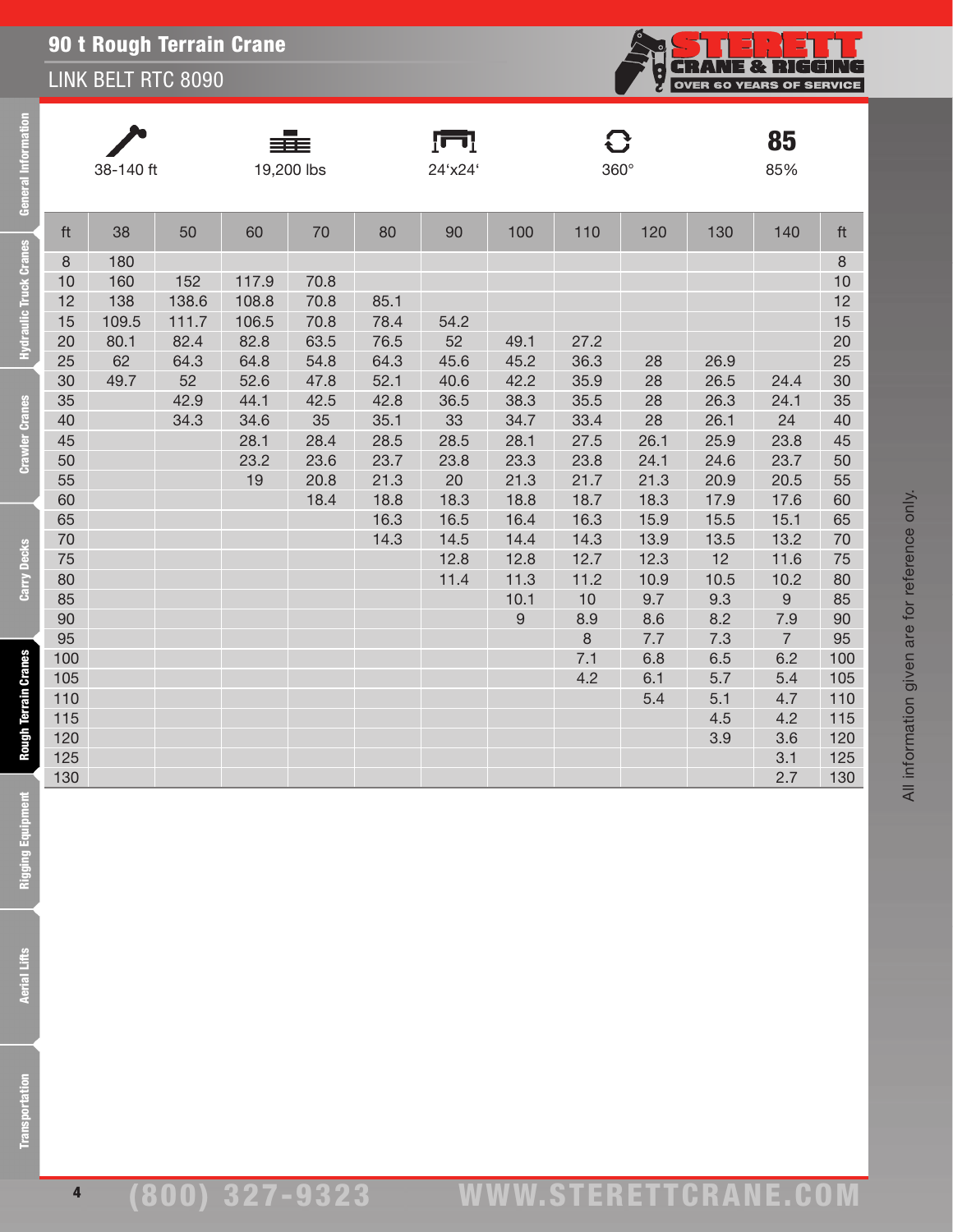#### LINK BELT RTC 8090

| <b>General Information</b>                                                                    | 38-140 ft                                                                                                                                             |                                                  |                                                             |                                                                                       | 19,200 lbs                                                                                 |                                                                                                      | 24'x24'                                                                                                |                                                                                                                                  | $360^\circ$                                                                                                                          |                                                                                                                                |                                                                                                                                             | 85<br>85%                                                                                                                                                   |                                                                                                                                                       |  |
|-----------------------------------------------------------------------------------------------|-------------------------------------------------------------------------------------------------------------------------------------------------------|--------------------------------------------------|-------------------------------------------------------------|---------------------------------------------------------------------------------------|--------------------------------------------------------------------------------------------|------------------------------------------------------------------------------------------------------|--------------------------------------------------------------------------------------------------------|----------------------------------------------------------------------------------------------------------------------------------|--------------------------------------------------------------------------------------------------------------------------------------|--------------------------------------------------------------------------------------------------------------------------------|---------------------------------------------------------------------------------------------------------------------------------------------|-------------------------------------------------------------------------------------------------------------------------------------------------------------|-------------------------------------------------------------------------------------------------------------------------------------------------------|--|
|                                                                                               | ft                                                                                                                                                    | 38                                               | 50                                                          | 60                                                                                    | 70                                                                                         | 80                                                                                                   | 90                                                                                                     | 100                                                                                                                              | 110                                                                                                                                  | 120                                                                                                                            | 130                                                                                                                                         | 140                                                                                                                                                         | ft                                                                                                                                                    |  |
| <b>Hydraulic Truck Cranes</b><br><b>Crawler Cranes</b><br>Carry Decks<br>Rough Terrain Cranes | $\,8\,$<br>10<br>12<br>15<br>20<br>25<br>30<br>35<br>40<br>45<br>50<br>55<br>60<br>65<br>70<br>75<br>80<br>85<br>90<br>95<br>100<br>105<br>110<br>115 | 180<br>160<br>138<br>109.5<br>80.1<br>62<br>49.7 | 152<br>138.6<br>111.7<br>82.4<br>64.3<br>52<br>42.9<br>34.3 | 117.9<br>108.8<br>106.5<br>82.8<br>64.8<br>52.6<br>44.1<br>34.6<br>28.1<br>23.2<br>19 | 70.8<br>70.8<br>70.8<br>63.5<br>54.8<br>47.8<br>42.5<br>35<br>28.4<br>23.6<br>20.8<br>18.4 | 85.1<br>78.4<br>76.5<br>64.3<br>52.1<br>42.8<br>35.1<br>28.5<br>23.7<br>21.3<br>18.8<br>16.3<br>14.3 | 54.2<br>52<br>45.6<br>40.6<br>36.5<br>33<br>28.5<br>23.8<br>20<br>18.3<br>16.5<br>14.5<br>12.8<br>11.4 | 49.1<br>45.2<br>42.2<br>38.3<br>34.7<br>28.1<br>23.3<br>21.3<br>18.8<br>16.4<br>14.4<br>12.8<br>11.3<br>10.1<br>$\boldsymbol{9}$ | 27.2<br>36.3<br>35.9<br>35.5<br>33.4<br>27.5<br>23.8<br>21.7<br>18.7<br>16.3<br>14.3<br>12.7<br>11.2<br>10<br>8.9<br>8<br>7.1<br>4.2 | 28<br>28<br>28<br>28<br>26.1<br>24.1<br>21.3<br>18.3<br>15.9<br>13.9<br>12.3<br>10.9<br>9.7<br>8.6<br>7.7<br>6.8<br>6.1<br>5.4 | 26.9<br>26.5<br>26.3<br>26.1<br>25.9<br>24.6<br>20.9<br>17.9<br>15.5<br>13.5<br>12<br>10.5<br>9.3<br>8.2<br>7.3<br>6.5<br>5.7<br>5.1<br>4.5 | 24.4<br>24.1<br>24<br>23.8<br>23.7<br>20.5<br>17.6<br>15.1<br>13.2<br>11.6<br>10.2<br>$\boldsymbol{9}$<br>7.9<br>$\overline{7}$<br>6.2<br>5.4<br>4.7<br>4.2 | $\,8\,$<br>10<br>12<br>15<br>20<br>25<br>30<br>35<br>40<br>45<br>50<br>55<br>60<br>65<br>70<br>75<br>80<br>85<br>90<br>95<br>100<br>105<br>110<br>115 |  |
| nent<br>Rigging Equipm                                                                        | 120<br>125<br>130                                                                                                                                     |                                                  |                                                             |                                                                                       |                                                                                            |                                                                                                      |                                                                                                        |                                                                                                                                  |                                                                                                                                      |                                                                                                                                | 3.9                                                                                                                                         | 3.6<br>3.1<br>2.7                                                                                                                                           | 120<br>125<br>130                                                                                                                                     |  |
| <b>Aerial Lifts</b>                                                                           |                                                                                                                                                       |                                                  |                                                             |                                                                                       |                                                                                            |                                                                                                      |                                                                                                        |                                                                                                                                  |                                                                                                                                      |                                                                                                                                |                                                                                                                                             |                                                                                                                                                             |                                                                                                                                                       |  |
| <b>Transportation</b>                                                                         |                                                                                                                                                       |                                                  |                                                             |                                                                                       |                                                                                            |                                                                                                      |                                                                                                        |                                                                                                                                  |                                                                                                                                      |                                                                                                                                |                                                                                                                                             |                                                                                                                                                             |                                                                                                                                                       |  |

**Rigging Equipmer** 

**Aerial Lifts**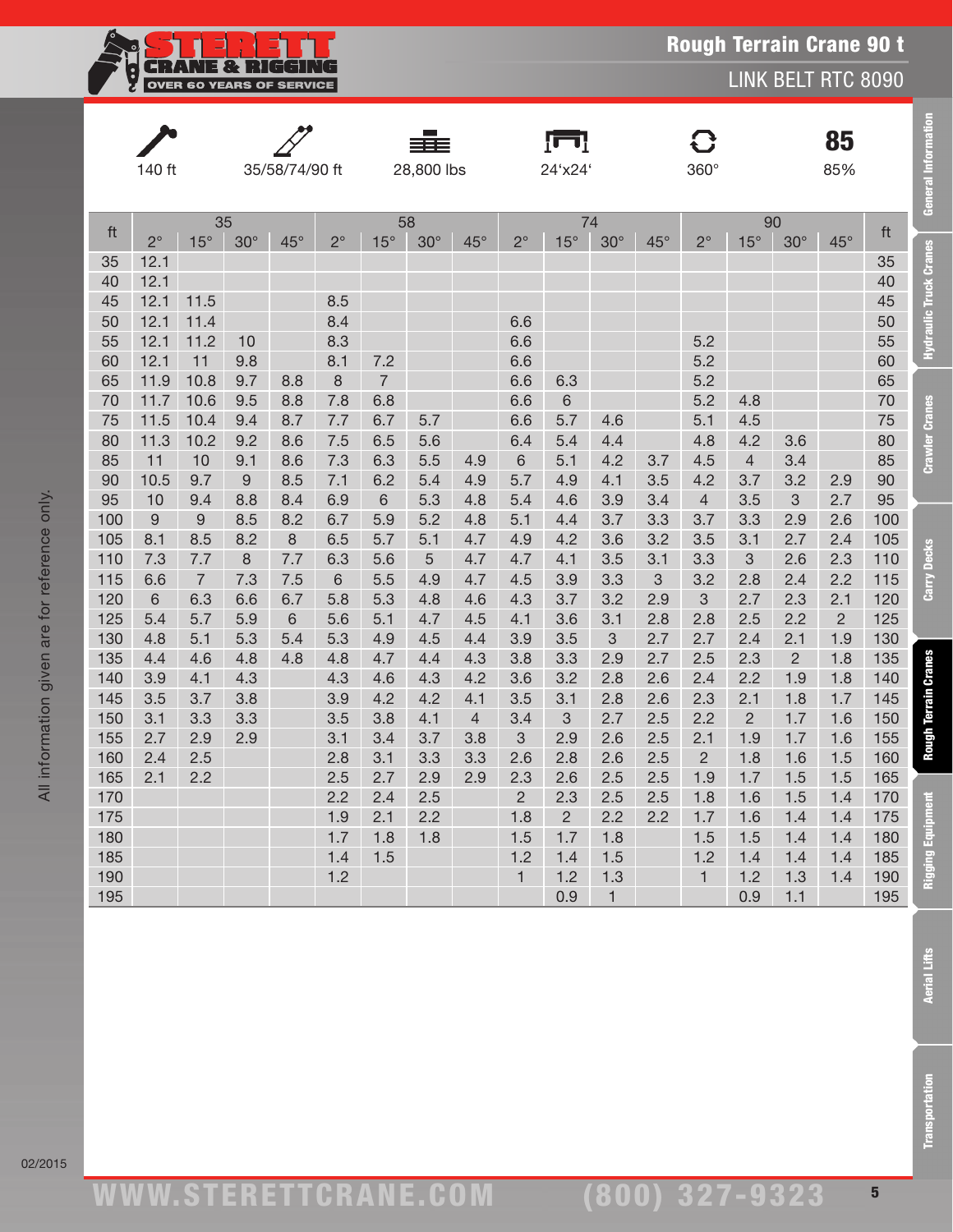

LINK BELT RTC 8090

|            | 140 ft                |                       |             | 35/58/74/90 ft |             |                | 28,800 lbs |                |              | ſш<br>24'x24'  |              |              | 360°           |                |                |                |            |                               |  | 85<br>85% |  | General Information |
|------------|-----------------------|-----------------------|-------------|----------------|-------------|----------------|------------|----------------|--------------|----------------|--------------|--------------|----------------|----------------|----------------|----------------|------------|-------------------------------|--|-----------|--|---------------------|
|            | 35                    |                       |             |                | 58          |                |            |                | 74           |                |              |              |                | 90             |                |                |            |                               |  |           |  |                     |
| ft         | $2^{\circ}$           | $15^\circ$            | $30^\circ$  | $45^{\circ}$   | $2^{\circ}$ | $15^\circ$     | $30^\circ$ | $45^{\circ}$   | $2^{\circ}$  | $15^{\circ}$   | $30^\circ$   | $45^{\circ}$ | $2^{\circ}$    | $15^\circ$     | $30^\circ$     | $45^{\circ}$   | ft         |                               |  |           |  |                     |
| 35         | 12.1                  |                       |             |                |             |                |            |                |              |                |              |              |                |                |                |                | 35         |                               |  |           |  |                     |
| 40         | 12.1                  |                       |             |                |             |                |            |                |              |                |              |              |                |                |                |                | 40         |                               |  |           |  |                     |
| 45         | 12.1                  | 11.5                  |             |                | 8.5         |                |            |                |              |                |              |              |                |                |                |                | 45         | <b>Hydraulic Truck Cranes</b> |  |           |  |                     |
| 50         | 12.1                  | 11.4                  |             |                | 8.4         |                |            |                | 6.6          |                |              |              |                |                |                |                | 50         |                               |  |           |  |                     |
| 55         | 12.1                  | 11.2                  | 10          |                | 8.3         |                |            |                | 6.6          |                |              |              | 5.2            |                |                |                | 55         |                               |  |           |  |                     |
| 60         | 12.1                  | 11                    | 9.8         |                | 8.1         | 7.2            |            |                | 6.6          |                |              |              | 5.2            |                |                |                | 60         |                               |  |           |  |                     |
| 65         | 11.9                  | 10.8                  | 9.7         | 8.8            | 8           | $\overline{7}$ |            |                | 6.6          | 6.3            |              |              | 5.2            |                |                |                | 65         |                               |  |           |  |                     |
| 70         | 11.7                  | 10.6                  | 9.5         | 8.8            | 7.8         | 6.8            |            |                | 6.6          | 6              |              |              | 5.2            | 4.8            |                |                | 70         | <b>Crawler Cranes</b>         |  |           |  |                     |
| 75         | 11.5                  | 10.4                  | 9.4         | 8.7            | 7.7         | 6.7            | 5.7        |                | 6.6          | 5.7            | 4.6          |              | 5.1            | 4.5            |                |                | 75         |                               |  |           |  |                     |
| 80         | 11.3                  | 10.2                  | 9.2         | 8.6            | 7.5         | 6.5            | 5.6        |                | 6.4          | 5.4            | 4.4          |              | 4.8            | 4.2            | 3.6            |                | 80         |                               |  |           |  |                     |
| 85         | 11                    | 10                    | 9.1         | 8.6            | 7.3         | 6.3            | 5.5        | 4.9            | 6            | 5.1            | 4.2          | 3.7          | 4.5            | $\overline{4}$ | 3.4            |                | 85         |                               |  |           |  |                     |
| 90         | 10.5                  | 9.7                   | $\mathsf 9$ | 8.5            | 7.1         | 6.2            | 5.4        | 4.9            | 5.7          | 4.9            | 4.1          | 3.5          | 4.2            | 3.7            | 3.2            | 2.9            | 90         |                               |  |           |  |                     |
| 95         | 10                    | 9.4                   | 8.8         | 8.4            | 6.9         | 6              | 5.3        | 4.8            | 5.4          | 4.6            | 3.9          | 3.4          | $\overline{4}$ | 3.5            | 3              | 2.7            | 95         |                               |  |           |  |                     |
| 100        | $\mathsf 9$           | $\boldsymbol{9}$      | 8.5         | 8.2            | 6.7         | 5.9            | 5.2        | 4.8            | 5.1          | 4.4            | 3.7          | 3.3          | 3.7            | 3.3            | 2.9            | 2.6            | 100        |                               |  |           |  |                     |
| 105        | 8.1                   | 8.5                   | 8.2         | 8              | 6.5         | 5.7            | 5.1        | 4.7            | 4.9          | 4.2            | 3.6          | 3.2          | 3.5            | 3.1            | 2.7            | 2.4            | 105        |                               |  |           |  |                     |
| 110        | 7.3                   | 7.7                   | 8           | 7.7            | 6.3         | 5.6            | 5          | 4.7            | 4.7          | 4.1            | 3.5          | 3.1          | 3.3            | 3              | 2.6            | 2.3            | 110        |                               |  |           |  |                     |
| 115<br>120 | 6.6<br>$6\phantom{1}$ | $\overline{7}$<br>6.3 | 7.3<br>6.6  | 7.5<br>6.7     | 6<br>5.8    | 5.5<br>5.3     | 4.9<br>4.8 | 4.7<br>4.6     | 4.5<br>4.3   | 3.9<br>3.7     | 3.3<br>3.2   | 3<br>2.9     | 3.2<br>3       | 2.8<br>2.7     | 2.4<br>2.3     | 2.2<br>2.1     | 115<br>120 | <b>Carry Decks</b>            |  |           |  |                     |
| 125        | 5.4                   | 5.7                   | 5.9         | 6              | 5.6         | 5.1            | 4.7        | 4.5            | 4.1          | 3.6            | 3.1          | 2.8          | 2.8            | 2.5            | 2.2            | $\overline{2}$ | 125        |                               |  |           |  |                     |
| 130        | 4.8                   | 5.1                   | 5.3         | 5.4            | 5.3         | 4.9            | 4.5        | 4.4            | 3.9          | 3.5            | 3            | 2.7          | 2.7            | 2.4            | 2.1            | 1.9            | 130        |                               |  |           |  |                     |
| 135        | 4.4                   | 4.6                   | 4.8         | 4.8            | 4.8         | 4.7            | 4.4        | 4.3            | 3.8          | 3.3            | 2.9          | 2.7          | 2.5            | 2.3            | $\overline{c}$ | 1.8            | 135        |                               |  |           |  |                     |
| 140        | 3.9                   | 4.1                   | 4.3         |                | 4.3         | 4.6            | 4.3        | 4.2            | 3.6          | 3.2            | 2.8          | 2.6          | 2.4            | 2.2            | 1.9            | 1.8            | 140        | <b>Rough Terrain Cranes</b>   |  |           |  |                     |
| 145        | 3.5                   | 3.7                   | 3.8         |                | 3.9         | 4.2            | 4.2        | 4.1            | 3.5          | 3.1            | 2.8          | 2.6          | 2.3            | 2.1            | 1.8            | 1.7            | 145        |                               |  |           |  |                     |
| 150        | 3.1                   | 3.3                   | 3.3         |                | 3.5         | 3.8            | 4.1        | $\overline{4}$ | 3.4          | 3              | 2.7          | 2.5          | 2.2            | $\overline{c}$ | 1.7            | 1.6            | 150        |                               |  |           |  |                     |
| 155        | 2.7                   | 2.9                   | 2.9         |                | 3.1         | 3.4            | 3.7        | 3.8            | 3            | 2.9            | 2.6          | 2.5          | 2.1            | 1.9            | 1.7            | 1.6            | 155        |                               |  |           |  |                     |
| 160        | 2.4                   | 2.5                   |             |                | 2.8         | 3.1            | 3.3        | 3.3            | 2.6          | 2.8            | 2.6          | 2.5          | $\overline{2}$ | 1.8            | 1.6            | 1.5            | 160        |                               |  |           |  |                     |
| 165        | 2.1                   | 2.2                   |             |                | 2.5         | 2.7            | 2.9        | 2.9            | 2.3          | 2.6            | 2.5          | 2.5          | 1.9            | 1.7            | 1.5            | 1.5            | 165        |                               |  |           |  |                     |
| 170        |                       |                       |             |                | 2.2         | 2.4            | 2.5        |                | $\mathbf{2}$ | 2.3            | 2.5          | 2.5          | 1.8            | 1.6            | 1.5            | 1.4            | 170        |                               |  |           |  |                     |
| 175        |                       |                       |             |                | 1.9         | 2.1            | 2.2        |                | 1.8          | $\overline{2}$ | 2.2          | 2.2          | 1.7            | 1.6            | 1.4            | 1.4            | 175        | Equipment                     |  |           |  |                     |
| 180        |                       |                       |             |                | 1.7         | 1.8            | 1.8        |                | 1.5          | 1.7            | 1.8          |              | 1.5            | 1.5            | 1.4            | 1.4            | 180        |                               |  |           |  |                     |
| 185        |                       |                       |             |                | 1.4         | 1.5            |            |                | 1.2          | 1.4            | 1.5          |              | 1.2            | 1.4            | 1.4            | 1.4            | 185        |                               |  |           |  |                     |
| 190        |                       |                       |             |                | 1.2         |                |            |                | $\mathbf{1}$ | 1.2            | 1.3          |              | $\mathbf{1}$   | 1.2            | 1.3            | 1.4            | 190        | Rigging                       |  |           |  |                     |
| 195        |                       |                       |             |                |             |                |            |                |              | 0.9            | $\mathbf{1}$ |              |                | 0.9            | 1.1            |                | 195        |                               |  |           |  |                     |

(800) 327-9323